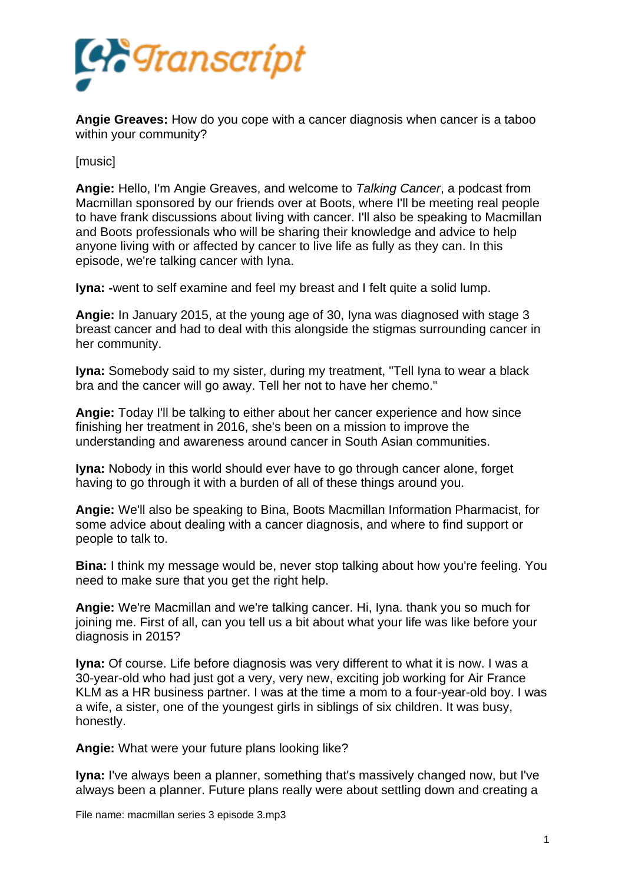

**Angie Greaves:** How do you cope with a cancer diagnosis when cancer is a taboo within your community?

[music]

**Angie:** Hello, I'm Angie Greaves, and welcome to *Talking Cancer*, a podcast from Macmillan sponsored by our friends over at Boots, where I'll be meeting real people to have frank discussions about living with cancer. I'll also be speaking to Macmillan and Boots professionals who will be sharing their knowledge and advice to help anyone living with or affected by cancer to live life as fully as they can. In this episode, we're talking cancer with Iyna.

**Iyna: -**went to self examine and feel my breast and I felt quite a solid lump.

**Angie:** In January 2015, at the young age of 30, Iyna was diagnosed with stage 3 breast cancer and had to deal with this alongside the stigmas surrounding cancer in her community.

**Iyna:** Somebody said to my sister, during my treatment, "Tell Iyna to wear a black bra and the cancer will go away. Tell her not to have her chemo."

**Angie:** Today I'll be talking to either about her cancer experience and how since finishing her treatment in 2016, she's been on a mission to improve the understanding and awareness around cancer in South Asian communities.

**Iyna:** Nobody in this world should ever have to go through cancer alone, forget having to go through it with a burden of all of these things around you.

**Angie:** We'll also be speaking to Bina, Boots Macmillan Information Pharmacist, for some advice about dealing with a cancer diagnosis, and where to find support or people to talk to.

**Bina:** I think my message would be, never stop talking about how you're feeling. You need to make sure that you get the right help.

**Angie:** We're Macmillan and we're talking cancer. Hi, Iyna. thank you so much for joining me. First of all, can you tell us a bit about what your life was like before your diagnosis in 2015?

**Iyna:** Of course. Life before diagnosis was very different to what it is now. I was a 30-year-old who had just got a very, very new, exciting job working for Air France KLM as a HR business partner. I was at the time a mom to a four-year-old boy. I was a wife, a sister, one of the youngest girls in siblings of six children. It was busy, honestly.

**Angie:** What were your future plans looking like?

**Iyna:** I've always been a planner, something that's massively changed now, but I've always been a planner. Future plans really were about settling down and creating a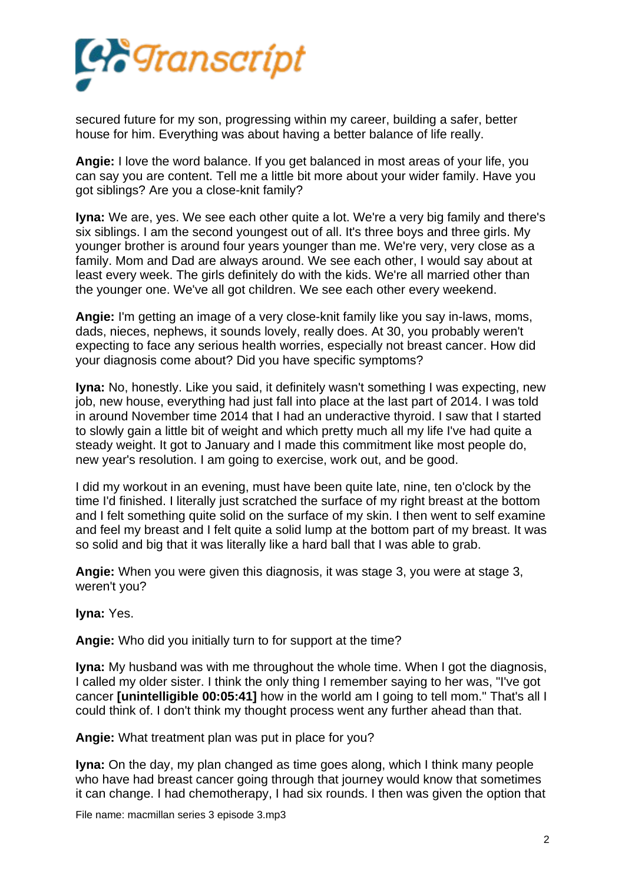

secured future for my son, progressing within my career, building a safer, better house for him. Everything was about having a better balance of life really.

**Angie:** I love the word balance. If you get balanced in most areas of your life, you can say you are content. Tell me a little bit more about your wider family. Have you got siblings? Are you a close-knit family?

**Iyna:** We are, yes. We see each other quite a lot. We're a very big family and there's six siblings. I am the second youngest out of all. It's three boys and three girls. My younger brother is around four years younger than me. We're very, very close as a family. Mom and Dad are always around. We see each other, I would say about at least every week. The girls definitely do with the kids. We're all married other than the younger one. We've all got children. We see each other every weekend.

**Angie:** I'm getting an image of a very close-knit family like you say in-laws, moms, dads, nieces, nephews, it sounds lovely, really does. At 30, you probably weren't expecting to face any serious health worries, especially not breast cancer. How did your diagnosis come about? Did you have specific symptoms?

**Iyna:** No, honestly. Like you said, it definitely wasn't something I was expecting, new job, new house, everything had just fall into place at the last part of 2014. I was told in around November time 2014 that I had an underactive thyroid. I saw that I started to slowly gain a little bit of weight and which pretty much all my life I've had quite a steady weight. It got to January and I made this commitment like most people do, new year's resolution. I am going to exercise, work out, and be good.

I did my workout in an evening, must have been quite late, nine, ten o'clock by the time I'd finished. I literally just scratched the surface of my right breast at the bottom and I felt something quite solid on the surface of my skin. I then went to self examine and feel my breast and I felt quite a solid lump at the bottom part of my breast. It was so solid and big that it was literally like a hard ball that I was able to grab.

**Angie:** When you were given this diagnosis, it was stage 3, you were at stage 3, weren't you?

**Iyna:** Yes.

**Angie:** Who did you initially turn to for support at the time?

**Iyna:** My husband was with me throughout the whole time. When I got the diagnosis, I called my older sister. I think the only thing I remember saying to her was, "I've got cancer **[unintelligible 00:05:41]** how in the world am I going to tell mom." That's all I could think of. I don't think my thought process went any further ahead than that.

**Angie:** What treatment plan was put in place for you?

**Iyna:** On the day, my plan changed as time goes along, which I think many people who have had breast cancer going through that journey would know that sometimes it can change. I had chemotherapy, I had six rounds. I then was given the option that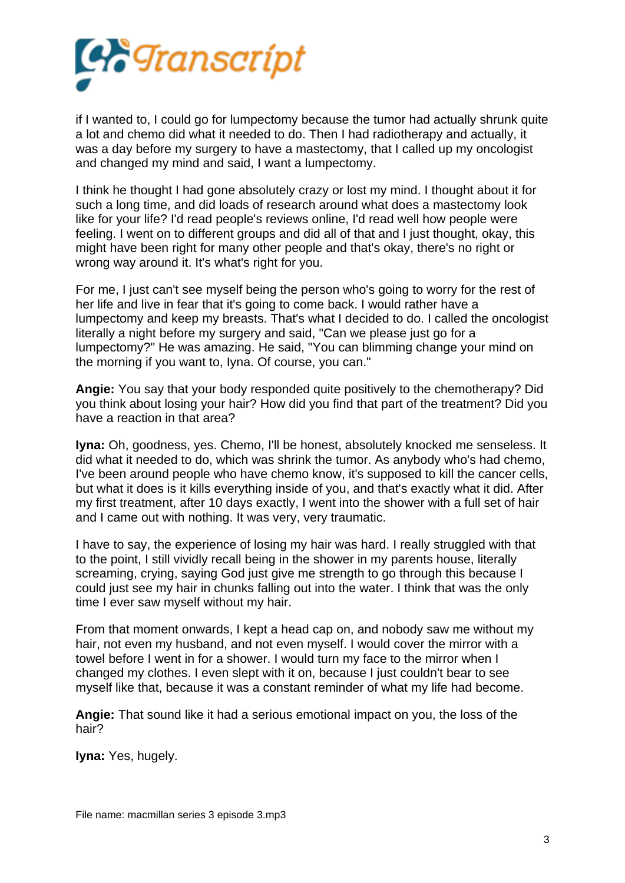

if I wanted to, I could go for lumpectomy because the tumor had actually shrunk quite a lot and chemo did what it needed to do. Then I had radiotherapy and actually, it was a day before my surgery to have a mastectomy, that I called up my oncologist and changed my mind and said, I want a lumpectomy.

I think he thought I had gone absolutely crazy or lost my mind. I thought about it for such a long time, and did loads of research around what does a mastectomy look like for your life? I'd read people's reviews online, I'd read well how people were feeling. I went on to different groups and did all of that and I just thought, okay, this might have been right for many other people and that's okay, there's no right or wrong way around it. It's what's right for you.

For me, I just can't see myself being the person who's going to worry for the rest of her life and live in fear that it's going to come back. I would rather have a lumpectomy and keep my breasts. That's what I decided to do. I called the oncologist literally a night before my surgery and said, "Can we please just go for a lumpectomy?" He was amazing. He said, "You can blimming change your mind on the morning if you want to, Iyna. Of course, you can."

**Angie:** You say that your body responded quite positively to the chemotherapy? Did you think about losing your hair? How did you find that part of the treatment? Did you have a reaction in that area?

**Iyna:** Oh, goodness, yes. Chemo, I'll be honest, absolutely knocked me senseless. It did what it needed to do, which was shrink the tumor. As anybody who's had chemo, I've been around people who have chemo know, it's supposed to kill the cancer cells, but what it does is it kills everything inside of you, and that's exactly what it did. After my first treatment, after 10 days exactly, I went into the shower with a full set of hair and I came out with nothing. It was very, very traumatic.

I have to say, the experience of losing my hair was hard. I really struggled with that to the point, I still vividly recall being in the shower in my parents house, literally screaming, crying, saying God just give me strength to go through this because I could just see my hair in chunks falling out into the water. I think that was the only time I ever saw myself without my hair.

From that moment onwards, I kept a head cap on, and nobody saw me without my hair, not even my husband, and not even myself. I would cover the mirror with a towel before I went in for a shower. I would turn my face to the mirror when I changed my clothes. I even slept with it on, because I just couldn't bear to see myself like that, because it was a constant reminder of what my life had become.

**Angie:** That sound like it had a serious emotional impact on you, the loss of the hair?

**Iyna:** Yes, hugely.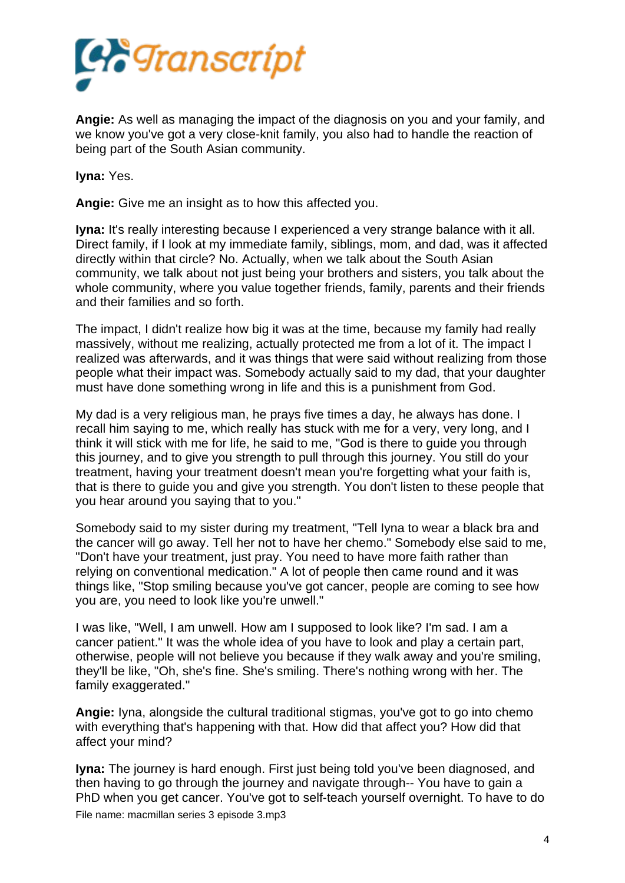

**Angie:** As well as managing the impact of the diagnosis on you and your family, and we know you've got a very close-knit family, you also had to handle the reaction of being part of the South Asian community.

**Iyna:** Yes.

**Angie:** Give me an insight as to how this affected you.

**Iyna:** It's really interesting because I experienced a very strange balance with it all. Direct family, if I look at my immediate family, siblings, mom, and dad, was it affected directly within that circle? No. Actually, when we talk about the South Asian community, we talk about not just being your brothers and sisters, you talk about the whole community, where you value together friends, family, parents and their friends and their families and so forth.

The impact, I didn't realize how big it was at the time, because my family had really massively, without me realizing, actually protected me from a lot of it. The impact I realized was afterwards, and it was things that were said without realizing from those people what their impact was. Somebody actually said to my dad, that your daughter must have done something wrong in life and this is a punishment from God.

My dad is a very religious man, he prays five times a day, he always has done. I recall him saying to me, which really has stuck with me for a very, very long, and I think it will stick with me for life, he said to me, "God is there to guide you through this journey, and to give you strength to pull through this journey. You still do your treatment, having your treatment doesn't mean you're forgetting what your faith is, that is there to guide you and give you strength. You don't listen to these people that you hear around you saying that to you."

Somebody said to my sister during my treatment, "Tell Iyna to wear a black bra and the cancer will go away. Tell her not to have her chemo." Somebody else said to me, "Don't have your treatment, just pray. You need to have more faith rather than relying on conventional medication." A lot of people then came round and it was things like, "Stop smiling because you've got cancer, people are coming to see how you are, you need to look like you're unwell."

I was like, "Well, I am unwell. How am I supposed to look like? I'm sad. I am a cancer patient." It was the whole idea of you have to look and play a certain part, otherwise, people will not believe you because if they walk away and you're smiling, they'll be like, "Oh, she's fine. She's smiling. There's nothing wrong with her. The family exaggerated."

**Angie:** Iyna, alongside the cultural traditional stigmas, you've got to go into chemo with everything that's happening with that. How did that affect you? How did that affect your mind?

**Iyna:** The journey is hard enough. First just being told you've been diagnosed, and then having to go through the journey and navigate through-- You have to gain a PhD when you get cancer. You've got to self-teach yourself overnight. To have to do File name: macmillan series 3 episode 3.mp3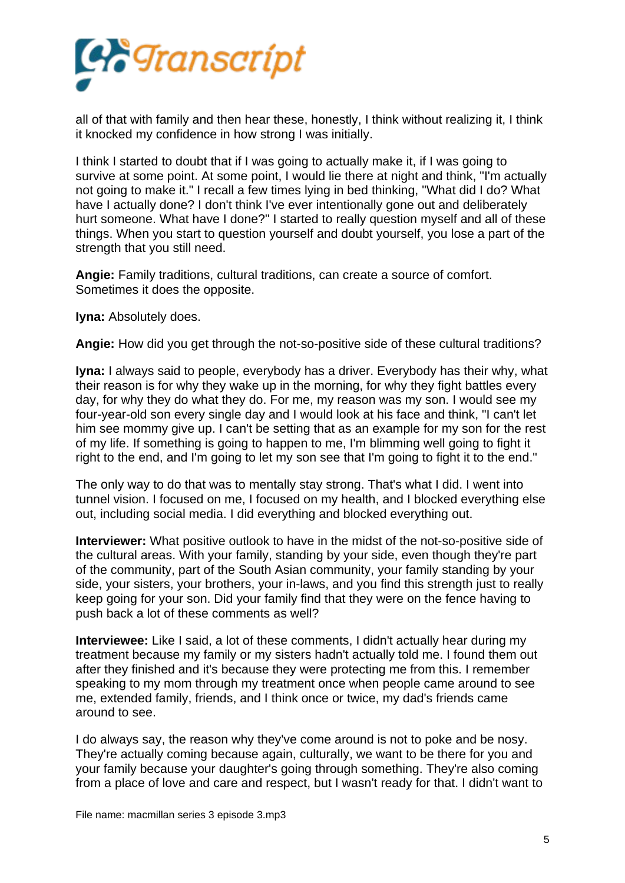

all of that with family and then hear these, honestly, I think without realizing it, I think it knocked my confidence in how strong I was initially.

I think I started to doubt that if I was going to actually make it, if I was going to survive at some point. At some point, I would lie there at night and think, "I'm actually not going to make it." I recall a few times lying in bed thinking, "What did I do? What have I actually done? I don't think I've ever intentionally gone out and deliberately hurt someone. What have I done?" I started to really question myself and all of these things. When you start to question yourself and doubt yourself, you lose a part of the strength that you still need.

**Angie:** Family traditions, cultural traditions, can create a source of comfort. Sometimes it does the opposite.

**Iyna:** Absolutely does.

**Angie:** How did you get through the not-so-positive side of these cultural traditions?

**Iyna:** I always said to people, everybody has a driver. Everybody has their why, what their reason is for why they wake up in the morning, for why they fight battles every day, for why they do what they do. For me, my reason was my son. I would see my four-year-old son every single day and I would look at his face and think, "I can't let him see mommy give up. I can't be setting that as an example for my son for the rest of my life. If something is going to happen to me, I'm blimming well going to fight it right to the end, and I'm going to let my son see that I'm going to fight it to the end."

The only way to do that was to mentally stay strong. That's what I did. I went into tunnel vision. I focused on me, I focused on my health, and I blocked everything else out, including social media. I did everything and blocked everything out.

**Interviewer:** What positive outlook to have in the midst of the not-so-positive side of the cultural areas. With your family, standing by your side, even though they're part of the community, part of the South Asian community, your family standing by your side, your sisters, your brothers, your in-laws, and you find this strength just to really keep going for your son. Did your family find that they were on the fence having to push back a lot of these comments as well?

**Interviewee:** Like I said, a lot of these comments, I didn't actually hear during my treatment because my family or my sisters hadn't actually told me. I found them out after they finished and it's because they were protecting me from this. I remember speaking to my mom through my treatment once when people came around to see me, extended family, friends, and I think once or twice, my dad's friends came around to see.

I do always say, the reason why they've come around is not to poke and be nosy. They're actually coming because again, culturally, we want to be there for you and your family because your daughter's going through something. They're also coming from a place of love and care and respect, but I wasn't ready for that. I didn't want to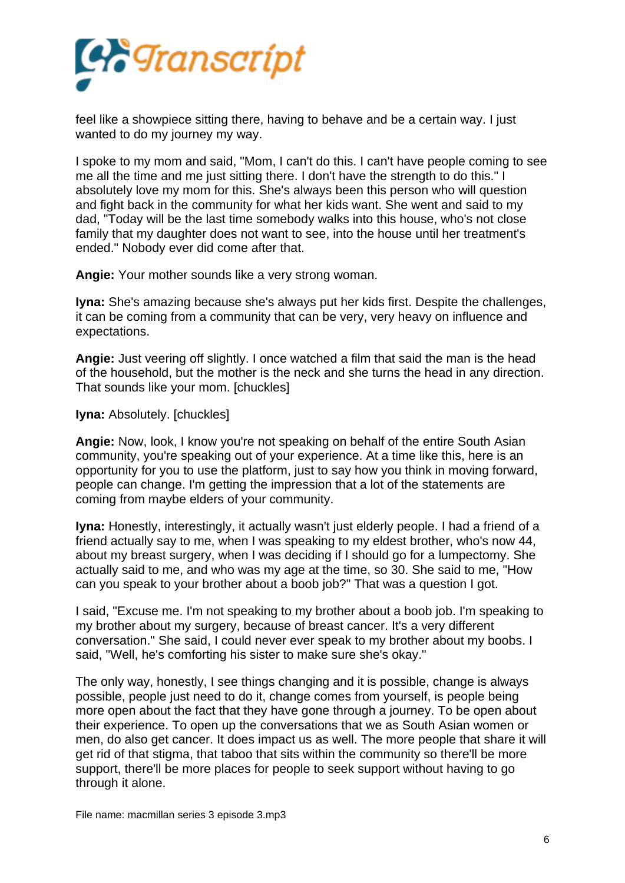

feel like a showpiece sitting there, having to behave and be a certain way. I just wanted to do my journey my way.

I spoke to my mom and said, "Mom, I can't do this. I can't have people coming to see me all the time and me just sitting there. I don't have the strength to do this." I absolutely love my mom for this. She's always been this person who will question and fight back in the community for what her kids want. She went and said to my dad, "Today will be the last time somebody walks into this house, who's not close family that my daughter does not want to see, into the house until her treatment's ended." Nobody ever did come after that.

**Angie:** Your mother sounds like a very strong woman.

**Iyna:** She's amazing because she's always put her kids first. Despite the challenges, it can be coming from a community that can be very, very heavy on influence and expectations.

**Angie:** Just veering off slightly. I once watched a film that said the man is the head of the household, but the mother is the neck and she turns the head in any direction. That sounds like your mom. [chuckles]

**Iyna: Absolutely. [chuckles]** 

**Angie:** Now, look, I know you're not speaking on behalf of the entire South Asian community, you're speaking out of your experience. At a time like this, here is an opportunity for you to use the platform, just to say how you think in moving forward, people can change. I'm getting the impression that a lot of the statements are coming from maybe elders of your community.

**Iyna:** Honestly, interestingly, it actually wasn't just elderly people. I had a friend of a friend actually say to me, when I was speaking to my eldest brother, who's now 44, about my breast surgery, when I was deciding if I should go for a lumpectomy. She actually said to me, and who was my age at the time, so 30. She said to me, "How can you speak to your brother about a boob job?" That was a question I got.

I said, "Excuse me. I'm not speaking to my brother about a boob job. I'm speaking to my brother about my surgery, because of breast cancer. It's a very different conversation." She said, I could never ever speak to my brother about my boobs. I said, "Well, he's comforting his sister to make sure she's okay."

The only way, honestly, I see things changing and it is possible, change is always possible, people just need to do it, change comes from yourself, is people being more open about the fact that they have gone through a journey. To be open about their experience. To open up the conversations that we as South Asian women or men, do also get cancer. It does impact us as well. The more people that share it will get rid of that stigma, that taboo that sits within the community so there'll be more support, there'll be more places for people to seek support without having to go through it alone.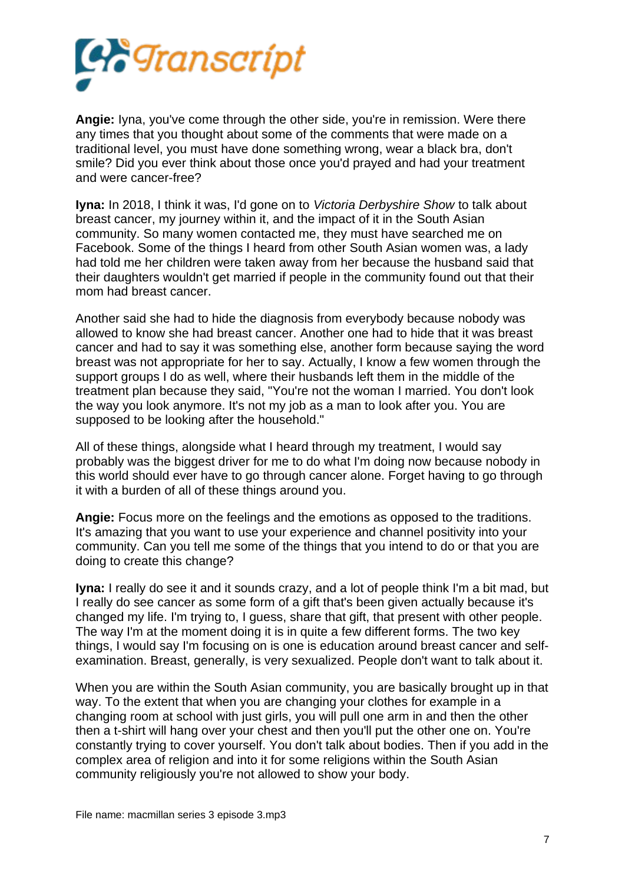

**Angie:** Iyna, you've come through the other side, you're in remission. Were there any times that you thought about some of the comments that were made on a traditional level, you must have done something wrong, wear a black bra, don't smile? Did you ever think about those once you'd prayed and had your treatment and were cancer-free?

**Iyna:** In 2018, I think it was, I'd gone on to *Victoria Derbyshire Show* to talk about breast cancer, my journey within it, and the impact of it in the South Asian community. So many women contacted me, they must have searched me on Facebook. Some of the things I heard from other South Asian women was, a lady had told me her children were taken away from her because the husband said that their daughters wouldn't get married if people in the community found out that their mom had breast cancer.

Another said she had to hide the diagnosis from everybody because nobody was allowed to know she had breast cancer. Another one had to hide that it was breast cancer and had to say it was something else, another form because saying the word breast was not appropriate for her to say. Actually, I know a few women through the support groups I do as well, where their husbands left them in the middle of the treatment plan because they said, "You're not the woman I married. You don't look the way you look anymore. It's not my job as a man to look after you. You are supposed to be looking after the household."

All of these things, alongside what I heard through my treatment, I would say probably was the biggest driver for me to do what I'm doing now because nobody in this world should ever have to go through cancer alone. Forget having to go through it with a burden of all of these things around you.

**Angie:** Focus more on the feelings and the emotions as opposed to the traditions. It's amazing that you want to use your experience and channel positivity into your community. Can you tell me some of the things that you intend to do or that you are doing to create this change?

**Iyna:** I really do see it and it sounds crazy, and a lot of people think I'm a bit mad, but I really do see cancer as some form of a gift that's been given actually because it's changed my life. I'm trying to, I guess, share that gift, that present with other people. The way I'm at the moment doing it is in quite a few different forms. The two key things, I would say I'm focusing on is one is education around breast cancer and selfexamination. Breast, generally, is very sexualized. People don't want to talk about it.

When you are within the South Asian community, you are basically brought up in that way. To the extent that when you are changing your clothes for example in a changing room at school with just girls, you will pull one arm in and then the other then a t-shirt will hang over your chest and then you'll put the other one on. You're constantly trying to cover yourself. You don't talk about bodies. Then if you add in the complex area of religion and into it for some religions within the South Asian community religiously you're not allowed to show your body.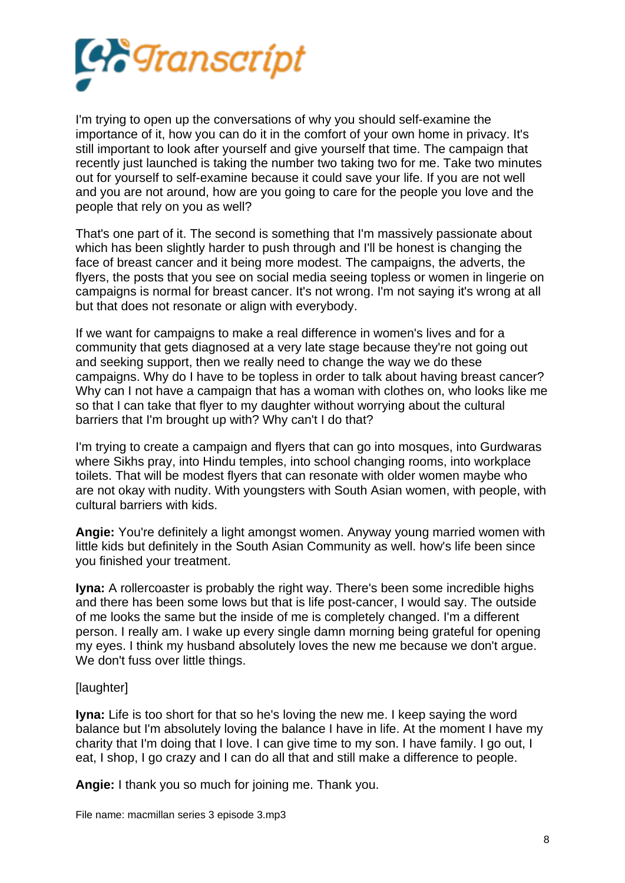

I'm trying to open up the conversations of why you should self-examine the importance of it, how you can do it in the comfort of your own home in privacy. It's still important to look after yourself and give yourself that time. The campaign that recently just launched is taking the number two taking two for me. Take two minutes out for yourself to self-examine because it could save your life. If you are not well and you are not around, how are you going to care for the people you love and the people that rely on you as well?

That's one part of it. The second is something that I'm massively passionate about which has been slightly harder to push through and I'll be honest is changing the face of breast cancer and it being more modest. The campaigns, the adverts, the flyers, the posts that you see on social media seeing topless or women in lingerie on campaigns is normal for breast cancer. It's not wrong. I'm not saying it's wrong at all but that does not resonate or align with everybody.

If we want for campaigns to make a real difference in women's lives and for a community that gets diagnosed at a very late stage because they're not going out and seeking support, then we really need to change the way we do these campaigns. Why do I have to be topless in order to talk about having breast cancer? Why can I not have a campaign that has a woman with clothes on, who looks like me so that I can take that flyer to my daughter without worrying about the cultural barriers that I'm brought up with? Why can't I do that?

I'm trying to create a campaign and flyers that can go into mosques, into Gurdwaras where Sikhs pray, into Hindu temples, into school changing rooms, into workplace toilets. That will be modest flyers that can resonate with older women maybe who are not okay with nudity. With youngsters with South Asian women, with people, with cultural barriers with kids.

**Angie:** You're definitely a light amongst women. Anyway young married women with little kids but definitely in the South Asian Community as well. how's life been since you finished your treatment.

**Iyna:** A rollercoaster is probably the right way. There's been some incredible highs and there has been some lows but that is life post-cancer, I would say. The outside of me looks the same but the inside of me is completely changed. I'm a different person. I really am. I wake up every single damn morning being grateful for opening my eyes. I think my husband absolutely loves the new me because we don't argue. We don't fuss over little things.

## [laughter]

**Iyna:** Life is too short for that so he's loving the new me. I keep saying the word balance but I'm absolutely loving the balance I have in life. At the moment I have my charity that I'm doing that I love. I can give time to my son. I have family. I go out, I eat, I shop, I go crazy and I can do all that and still make a difference to people.

**Angie:** I thank you so much for joining me. Thank you.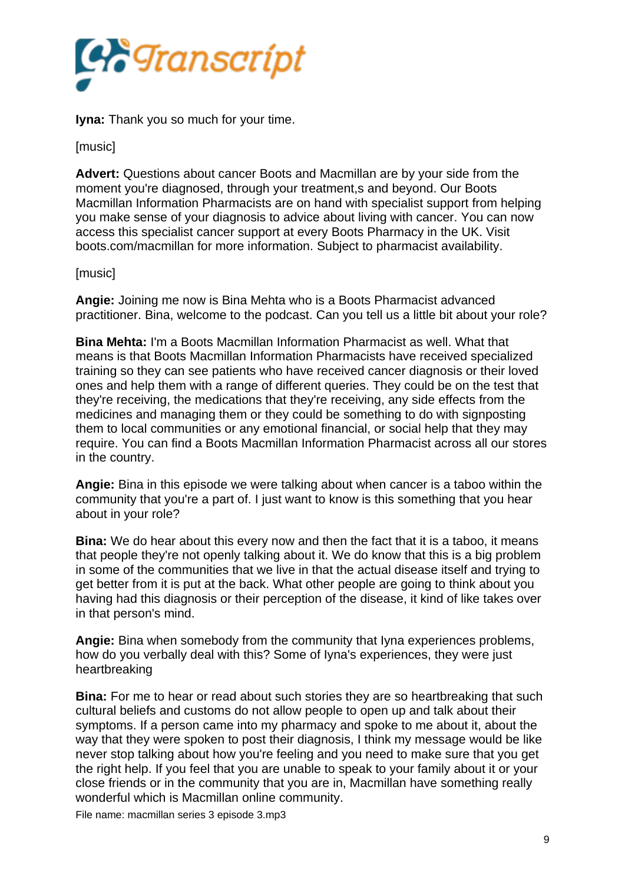

**Iyna:** Thank you so much for your time.

[music]

**Advert:** Questions about cancer Boots and Macmillan are by your side from the moment you're diagnosed, through your treatment,s and beyond. Our Boots Macmillan Information Pharmacists are on hand with specialist support from helping you make sense of your diagnosis to advice about living with cancer. You can now access this specialist cancer support at every Boots Pharmacy in the UK. Visit boots.com/macmillan for more information. Subject to pharmacist availability.

## [music]

**Angie:** Joining me now is Bina Mehta who is a Boots Pharmacist advanced practitioner. Bina, welcome to the podcast. Can you tell us a little bit about your role?

**Bina Mehta:** I'm a Boots Macmillan Information Pharmacist as well. What that means is that Boots Macmillan Information Pharmacists have received specialized training so they can see patients who have received cancer diagnosis or their loved ones and help them with a range of different queries. They could be on the test that they're receiving, the medications that they're receiving, any side effects from the medicines and managing them or they could be something to do with signposting them to local communities or any emotional financial, or social help that they may require. You can find a Boots Macmillan Information Pharmacist across all our stores in the country.

**Angie:** Bina in this episode we were talking about when cancer is a taboo within the community that you're a part of. I just want to know is this something that you hear about in your role?

**Bina:** We do hear about this every now and then the fact that it is a taboo, it means that people they're not openly talking about it. We do know that this is a big problem in some of the communities that we live in that the actual disease itself and trying to get better from it is put at the back. What other people are going to think about you having had this diagnosis or their perception of the disease, it kind of like takes over in that person's mind.

**Angie:** Bina when somebody from the community that Iyna experiences problems, how do you verbally deal with this? Some of Iyna's experiences, they were just heartbreaking

**Bina:** For me to hear or read about such stories they are so heartbreaking that such cultural beliefs and customs do not allow people to open up and talk about their symptoms. If a person came into my pharmacy and spoke to me about it, about the way that they were spoken to post their diagnosis, I think my message would be like never stop talking about how you're feeling and you need to make sure that you get the right help. If you feel that you are unable to speak to your family about it or your close friends or in the community that you are in, Macmillan have something really wonderful which is Macmillan online community.